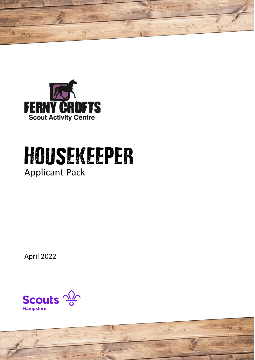



# Housekeeper Applicant Pack

April 2022

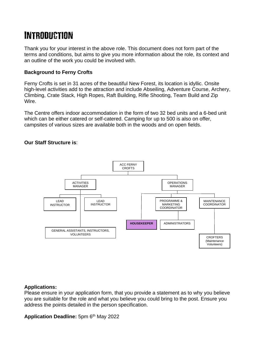# **INTRODUCTION**

Thank you for your interest in the above role. This document does not form part of the terms and conditions, but aims to give you more information about the role, its context and an outline of the work you could be involved with.

#### **Background to Ferny Crofts**

Ferny Crofts is set in 31 acres of the beautiful New Forest, its location is idyllic. Onsite high-level activities add to the attraction and include Abseiling, Adventure Course, Archery, Climbing, Crate Stack, High Ropes, Raft Building, Rifle Shooting, Team Build and Zip Wire.

The Centre offers indoor accommodation in the form of two 32 bed units and a 6-bed unit which can be either catered or self-catered. Camping for up to 500 is also on offer, campsites of various sizes are available both in the woods and on open fields.

#### **Our Staff Structure is**:



#### **Applications:**

Please ensure in your application form, that you provide a statement as to why you believe you are suitable for the role and what you believe you could bring to the post. Ensure you address the points detailed in the person specification.

**Application Deadline:** 5pm 6 th May 2022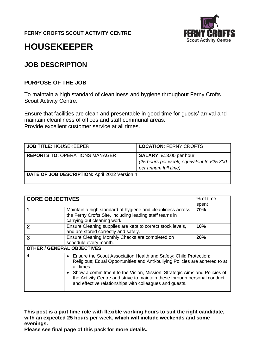**FERNY CROFTS SCOUT ACTIVITY CENTRE**



# **HOUSEKEEPER**

# **JOB DESCRIPTION**

#### **PURPOSE OF THE JOB**

To maintain a high standard of cleanliness and hygiene throughout Ferny Crofts Scout Activity Centre.

Ensure that facilities are clean and presentable in good time for guests' arrival and maintain cleanliness of offices and staff communal areas. Provide excellent customer service at all times.

| <b>JOB TITLE: HOUSEKEEPER</b>                 | <b>LOCATION: FERNY CROFTS</b>                                                                       |
|-----------------------------------------------|-----------------------------------------------------------------------------------------------------|
| <b>REPORTS TO: OPERATIONS MANAGER</b>         | <b>SALARY: £13.00 per hour</b><br>(25 hours per week, equivalent to £25,300<br>per annum full time) |
| DATE OF JOB DESCRIPTION: April 2022 Version 4 |                                                                                                     |

| <b>CORE OBJECTIVES</b>            |                                                                                                                                                                                                                                                                                                                                                                                        | % of time<br>spent |
|-----------------------------------|----------------------------------------------------------------------------------------------------------------------------------------------------------------------------------------------------------------------------------------------------------------------------------------------------------------------------------------------------------------------------------------|--------------------|
|                                   | Maintain a high standard of hygiene and cleanliness across<br>the Ferny Crofts Site, including leading staff teams in<br>carrying out cleaning work.                                                                                                                                                                                                                                   | 70%                |
| 2                                 | Ensure Cleaning supplies are kept to correct stock levels,<br>and are stored correctly and safely.                                                                                                                                                                                                                                                                                     | 10%                |
| 3                                 | Ensure Cleaning Monthly Checks are completed on<br>schedule every month.                                                                                                                                                                                                                                                                                                               | 20%                |
| <b>OTHER / GENERAL OBJECTIVES</b> |                                                                                                                                                                                                                                                                                                                                                                                        |                    |
| 4                                 | • Ensure the Scout Association Health and Safety; Child Protection;<br>Religious; Equal Opportunities and Anti-bullying Policies are adhered to at<br>all times.<br>• Show a commitment to the Vision, Mission, Strategic Aims and Policies of<br>the Activity Centre and strive to maintain these through personal conduct<br>and effective relationships with colleagues and quests. |                    |

**This post is a part time role with flexible working hours to suit the right candidate, with an expected 25 hours per week, which will include weekends and some evenings.**

**Please see final page of this pack for more details.**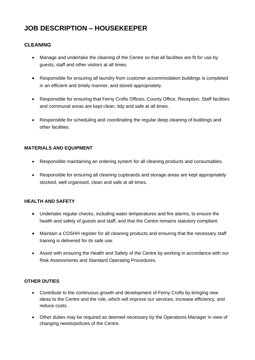# **JOB DESCRIPTION – HOUSEKEEPER**

#### **CLEANING**

- Manage and undertake the cleaning of the Centre so that all facilities are fit for use by guests, staff and other visitors at all times.
- Responsible for ensuring all laundry from customer accommodation buildings is completed in an efficient and timely manner, and stored appropriately.
- Responsible for ensuring that Ferny Crofts Offices, County Office, Reception, Staff facilities and communal areas are kept clean, tidy and safe at all times.
- Responsible for scheduling and coordinating the regular deep cleaning of buildings and other facilities.

#### **MATERIALS AND EQUIPMENT**

- Responsible maintaining an ordering system for all cleaning products and consumables.
- Responsible for ensuring all cleaning cupboards and storage areas are kept appropriately stocked, well organised, clean and safe at all times.

#### **HEALTH AND SAFETY**

- Undertake regular checks, including water temperatures and fire alarms, to ensure the health and safety of guests and staff, and that the Centre remains statutory compliant.
- Maintain a COSHH register for all cleaning products and ensuring that the necessary staff training is delivered for its safe use.
- Assist with ensuring the Health and Safety of the Centre by working in accordance with our Risk Assessments and Standard Operating Procedures.

#### **OTHER DUTIES**

- Contribute to the continuous growth and development of Ferny Crofts by bringing new ideas to the Centre and the role, which will improve our services, increase efficiency, and reduce costs.
- Other duties may be required as deemed necessary by the Operations Manager in view of changing needs/policies of the Centre.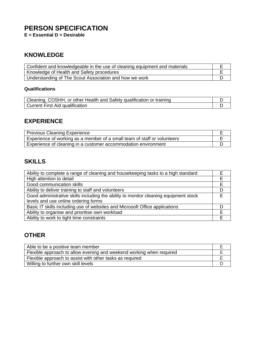# **PERSON SPECIFICATION**

**E = Essential D = Desirable**

# **KNOWLEDGE**

| Confident and knowledgeable in the use of cleaning equipment and materials |  |
|----------------------------------------------------------------------------|--|
| Knowledge of Health and Safety procedures                                  |  |
| Understanding of The Scout Association and how we work                     |  |

#### **Qualifications**

| Cleaning, COSHH, or other Health and Safety qualification or training |  |
|-----------------------------------------------------------------------|--|
| Current First Aid qualification                                       |  |

## **EXPERIENCE**

| <b>Previous Cleaning Experience</b>                                      |  |
|--------------------------------------------------------------------------|--|
| Experience of working as a member of a small team of staff or volunteers |  |
| Experience of cleaning in a customer accommodation environment           |  |

# **SKILLS**

| Ability to complete a range of cleaning and housekeeping tasks to a high standard    |   |
|--------------------------------------------------------------------------------------|---|
| High attention to detail                                                             |   |
| Good communication skills                                                            |   |
| Ability to deliver training to staff and volunteers                                  | D |
| Good administrative skills including the ability to monitor cleaning equipment stock |   |
| levels and use online ordering forms                                                 |   |
| Basic IT skills including use of websites and Microsoft Office applications          |   |
| Ability to organise and prioritise own workload                                      | F |
| Ability to work to tight time constraints                                            |   |

# **OTHER**

| Able to be a positive team member                                    |  |
|----------------------------------------------------------------------|--|
| Flexible approach to allow evening and weekend working when required |  |
| Flexible approach to assist with other tasks as required             |  |
| Willing to further own skill levels                                  |  |